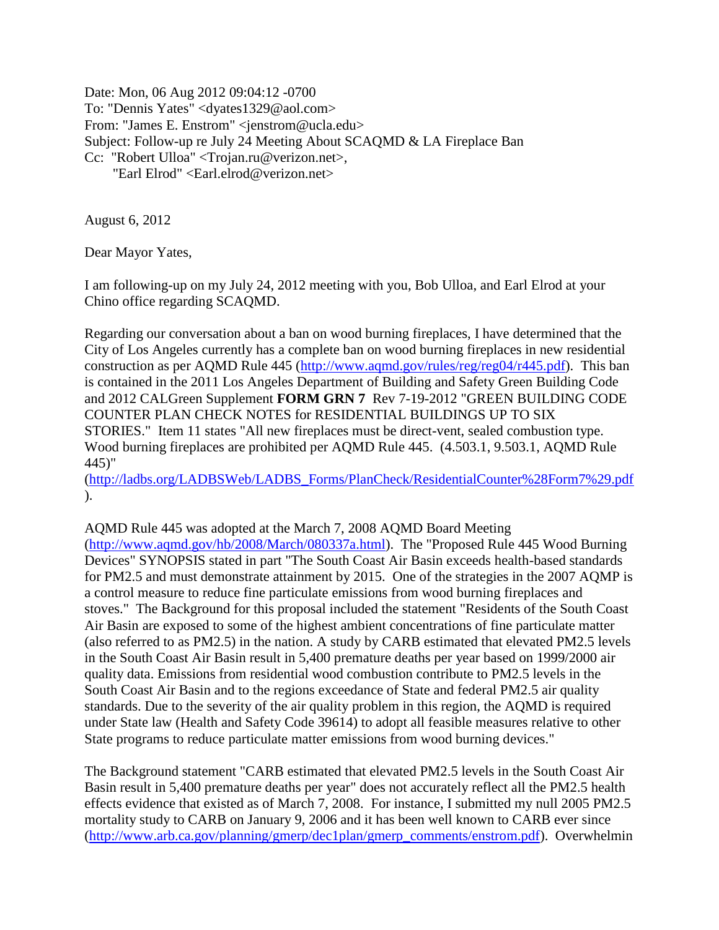Date: Mon, 06 Aug 2012 09:04:12 -0700 To: "Dennis Yates" <dyates1329@aol.com> From: "James E. Enstrom" <jenstrom@ucla.edu> Subject: Follow-up re July 24 Meeting About SCAQMD & LA Fireplace Ban Cc: "Robert Ulloa" <Trojan.ru@verizon.net>, "Earl Elrod" <Earl.elrod@verizon.net>

August 6, 2012

Dear Mayor Yates,

I am following-up on my July 24, 2012 meeting with you, Bob Ulloa, and Earl Elrod at your Chino office regarding SCAQMD.

Regarding our conversation about a ban on wood burning fireplaces, I have determined that the City of Los Angeles currently has a complete ban on wood burning fireplaces in new residential construction as per AQMD Rule 445 [\(http://www.aqmd.gov/rules/reg/reg04/r445.pdf\)](http://www.aqmd.gov/rules/reg/reg04/r445.pdf). This ban is contained in the 2011 Los Angeles Department of Building and Safety Green Building Code and 2012 CALGreen Supplement **FORM GRN 7** Rev 7-19-2012 "GREEN BUILDING CODE COUNTER PLAN CHECK NOTES for RESIDENTIAL BUILDINGS UP TO SIX STORIES." Item 11 states "All new fireplaces must be direct-vent, sealed combustion type. Wood burning fireplaces are prohibited per AQMD Rule 445. (4.503.1, 9.503.1, AQMD Rule 445)"

[\(http://ladbs.org/LADBSWeb/LADBS\\_Forms/PlanCheck/ResidentialCounter%28Form7%29.pdf](http://ladbs.org/LADBSWeb/LADBS_Forms/PlanCheck/ResidentialCounter%28Form7%29.pdf) ).

AQMD Rule 445 was adopted at the March 7, 2008 AQMD Board Meeting [\(http://www.aqmd.gov/hb/2008/March/080337a.html\)](http://www.aqmd.gov/hb/2008/March/080337a.html). The "Proposed Rule 445 Wood Burning Devices" SYNOPSIS stated in part "The South Coast Air Basin exceeds health-based standards for PM2.5 and must demonstrate attainment by 2015. One of the strategies in the 2007 AQMP is a control measure to reduce fine particulate emissions from wood burning fireplaces and stoves." The Background for this proposal included the statement "Residents of the South Coast Air Basin are exposed to some of the highest ambient concentrations of fine particulate matter (also referred to as PM2.5) in the nation. A study by CARB estimated that elevated PM2.5 levels in the South Coast Air Basin result in 5,400 premature deaths per year based on 1999/2000 air quality data. Emissions from residential wood combustion contribute to PM2.5 levels in the South Coast Air Basin and to the regions exceedance of State and federal PM2.5 air quality standards. Due to the severity of the air quality problem in this region, the AQMD is required under State law (Health and Safety Code 39614) to adopt all feasible measures relative to other State programs to reduce particulate matter emissions from wood burning devices."

The Background statement "CARB estimated that elevated PM2.5 levels in the South Coast Air Basin result in 5,400 premature deaths per year" does not accurately reflect all the PM2.5 health effects evidence that existed as of March 7, 2008. For instance, I submitted my null 2005 PM2.5 mortality study to CARB on January 9, 2006 and it has been well known to CARB ever since [\(http://www.arb.ca.gov/planning/gmerp/dec1plan/gmerp\\_comments/enstrom.pdf\)](http://www.arb.ca.gov/planning/gmerp/dec1plan/gmerp_comments/enstrom.pdf). Overwhelmin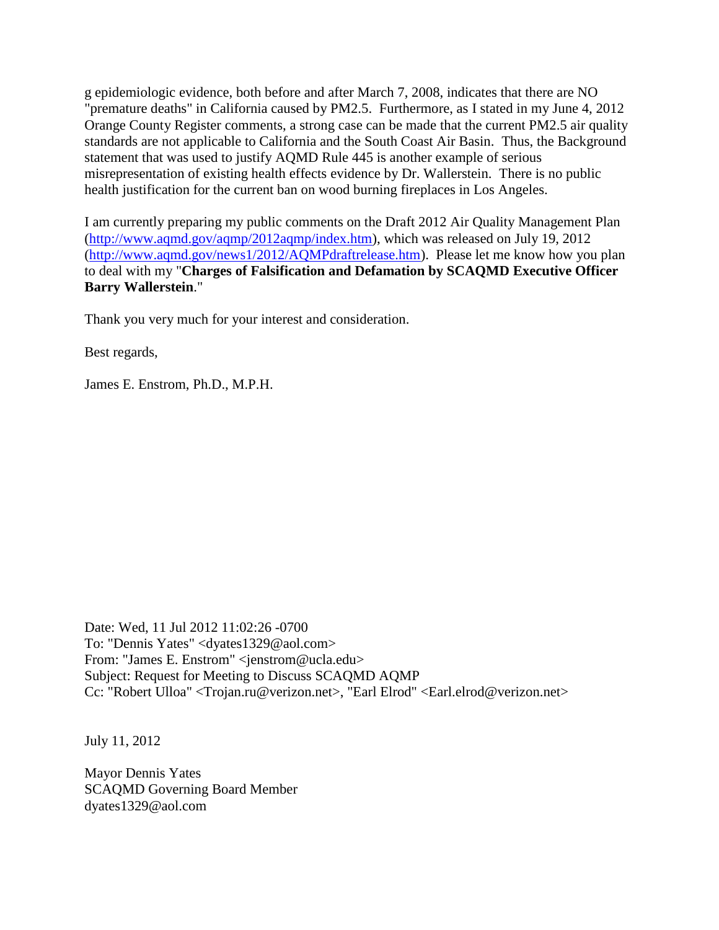g epidemiologic evidence, both before and after March 7, 2008, indicates that there are NO "premature deaths" in California caused by PM2.5. Furthermore, as I stated in my June 4, 2012 Orange County Register comments, a strong case can be made that the current PM2.5 air quality standards are not applicable to California and the South Coast Air Basin. Thus, the Background statement that was used to justify AQMD Rule 445 is another example of serious misrepresentation of existing health effects evidence by Dr. Wallerstein. There is no public health justification for the current ban on wood burning fireplaces in Los Angeles.

I am currently preparing my public comments on the Draft 2012 Air Quality Management Plan [\(http://www.aqmd.gov/aqmp/2012aqmp/index.htm\)](http://www.aqmd.gov/aqmp/2012aqmp/index.htm), which was released on July 19, 2012 [\(http://www.aqmd.gov/news1/2012/AQMPdraftrelease.htm\)](http://www.aqmd.gov/news1/2012/AQMPdraftrelease.htm). Please let me know how you plan to deal with my "**Charges of Falsification and Defamation by SCAQMD Executive Officer Barry Wallerstein**."

Thank you very much for your interest and consideration.

Best regards,

James E. Enstrom, Ph.D., M.P.H.

Date: Wed, 11 Jul 2012 11:02:26 -0700 To: "Dennis Yates" <dyates1329@aol.com> From: "James E. Enstrom" <jenstrom@ucla.edu> Subject: Request for Meeting to Discuss SCAQMD AQMP Cc: "Robert Ulloa" <Trojan.ru@verizon.net>, "Earl Elrod" <Earl.elrod@verizon.net>

July 11, 2012

Mayor Dennis Yates SCAQMD Governing Board Member dyates1329@aol.com